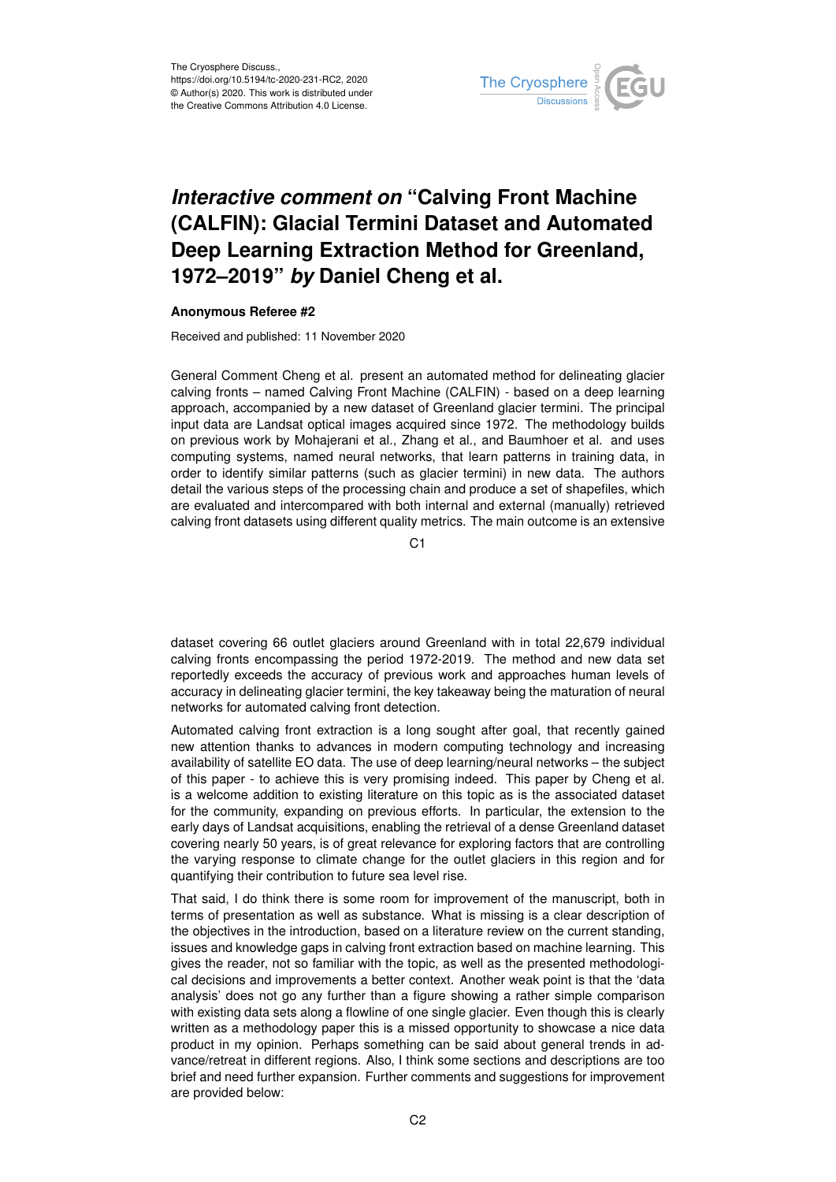

## *Interactive comment on* **"Calving Front Machine (CALFIN): Glacial Termini Dataset and Automated Deep Learning Extraction Method for Greenland, 1972–2019"** *by* **Daniel Cheng et al.**

## **Anonymous Referee #2**

Received and published: 11 November 2020

General Comment Cheng et al. present an automated method for delineating glacier calving fronts – named Calving Front Machine (CALFIN) - based on a deep learning approach, accompanied by a new dataset of Greenland glacier termini. The principal input data are Landsat optical images acquired since 1972. The methodology builds on previous work by Mohajerani et al., Zhang et al., and Baumhoer et al. and uses computing systems, named neural networks, that learn patterns in training data, in order to identify similar patterns (such as glacier termini) in new data. The authors detail the various steps of the processing chain and produce a set of shapefiles, which are evaluated and intercompared with both internal and external (manually) retrieved calving front datasets using different quality metrics. The main outcome is an extensive

C1

dataset covering 66 outlet glaciers around Greenland with in total 22,679 individual calving fronts encompassing the period 1972-2019. The method and new data set reportedly exceeds the accuracy of previous work and approaches human levels of accuracy in delineating glacier termini, the key takeaway being the maturation of neural networks for automated calving front detection.

Automated calving front extraction is a long sought after goal, that recently gained new attention thanks to advances in modern computing technology and increasing availability of satellite EO data. The use of deep learning/neural networks – the subject of this paper - to achieve this is very promising indeed. This paper by Cheng et al. is a welcome addition to existing literature on this topic as is the associated dataset for the community, expanding on previous efforts. In particular, the extension to the early days of Landsat acquisitions, enabling the retrieval of a dense Greenland dataset covering nearly 50 years, is of great relevance for exploring factors that are controlling the varying response to climate change for the outlet glaciers in this region and for quantifying their contribution to future sea level rise.

That said, I do think there is some room for improvement of the manuscript, both in terms of presentation as well as substance. What is missing is a clear description of the objectives in the introduction, based on a literature review on the current standing, issues and knowledge gaps in calving front extraction based on machine learning. This gives the reader, not so familiar with the topic, as well as the presented methodological decisions and improvements a better context. Another weak point is that the 'data analysis' does not go any further than a figure showing a rather simple comparison with existing data sets along a flowline of one single glacier. Even though this is clearly written as a methodology paper this is a missed opportunity to showcase a nice data product in my opinion. Perhaps something can be said about general trends in advance/retreat in different regions. Also, I think some sections and descriptions are too brief and need further expansion. Further comments and suggestions for improvement are provided below: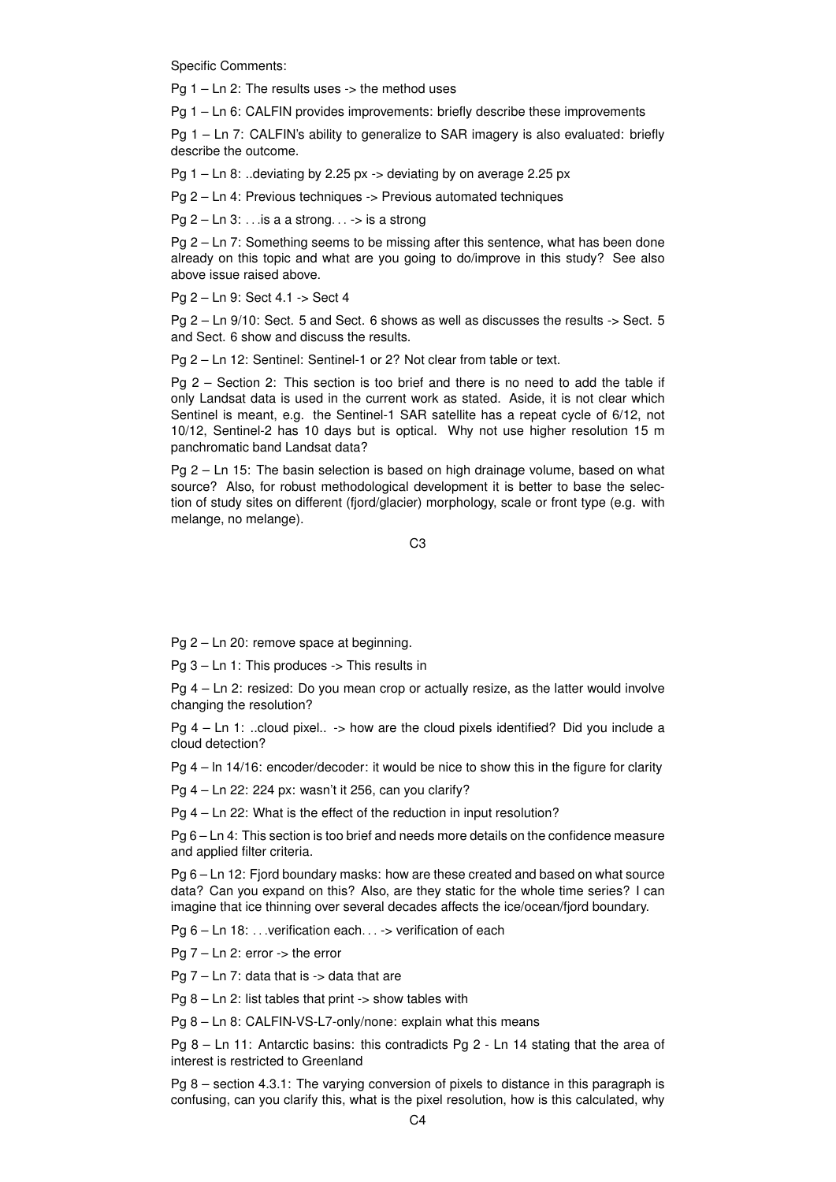Specific Comments:

Pg  $1 -$  Ln 2: The results uses  $\rightarrow$  the method uses

Pg 1 – Ln 6: CALFIN provides improvements: briefly describe these improvements

Pg 1 – Ln 7: CALFIN's ability to generalize to SAR imagery is also evaluated: briefly describe the outcome.

Pg 1 – Ln 8: ..deviating by 2.25 px -> deviating by on average 2.25 px

Pg 2 – Ln 4: Previous techniques -> Previous automated techniques

Pg  $2 - \text{Ln } 3$ : ... is a a strong...  $\rightarrow$  is a strong

Pg 2 – Ln 7: Something seems to be missing after this sentence, what has been done already on this topic and what are you going to do/improve in this study? See also above issue raised above.

Pg 2 – Ln 9: Sect 4.1 -> Sect 4

Pg 2 – Ln 9/10: Sect. 5 and Sect. 6 shows as well as discusses the results -> Sect. 5 and Sect. 6 show and discuss the results.

Pg 2 – Ln 12: Sentinel: Sentinel-1 or 2? Not clear from table or text.

Pg 2 – Section 2: This section is too brief and there is no need to add the table if only Landsat data is used in the current work as stated. Aside, it is not clear which Sentinel is meant, e.g. the Sentinel-1 SAR satellite has a repeat cycle of 6/12, not 10/12, Sentinel-2 has 10 days but is optical. Why not use higher resolution 15 m panchromatic band Landsat data?

Pg 2 – Ln 15: The basin selection is based on high drainage volume, based on what source? Also, for robust methodological development it is better to base the selection of study sites on different (fjord/glacier) morphology, scale or front type (e.g. with melange, no melange).

C3

Pg 2 – Ln 20: remove space at beginning.

Pg 3 – Ln 1: This produces -> This results in

Pg 4 – Ln 2: resized: Do you mean crop or actually resize, as the latter would involve changing the resolution?

Pg 4 – Ln 1: ..cloud pixel.. -> how are the cloud pixels identified? Did you include a cloud detection?

Pg 4 – ln 14/16: encoder/decoder: it would be nice to show this in the figure for clarity

Pg 4 – Ln 22: 224 px: wasn't it 256, can you clarify?

Pg 4 – Ln 22: What is the effect of the reduction in input resolution?

Pg 6 – Ln 4: This section is too brief and needs more details on the confidence measure and applied filter criteria.

Pg 6 – Ln 12: Fjord boundary masks: how are these created and based on what source data? Can you expand on this? Also, are they static for the whole time series? I can imagine that ice thinning over several decades affects the ice/ocean/fjord boundary.

Pg 6 – Ln 18: ... verification each. . . -> verification of each

Pg 7 – Ln 2: error -> the error

Pg  $7 - \text{Ln } 7$ : data that is  $\rightarrow$  data that are

Pg  $8 -$  Ln 2: list tables that print  $\rightarrow$  show tables with

Pg 8 – Ln 8: CALFIN-VS-L7-only/none: explain what this means

Pg 8 – Ln 11: Antarctic basins: this contradicts Pg 2 - Ln 14 stating that the area of interest is restricted to Greenland

Pg 8 – section 4.3.1: The varying conversion of pixels to distance in this paragraph is confusing, can you clarify this, what is the pixel resolution, how is this calculated, why